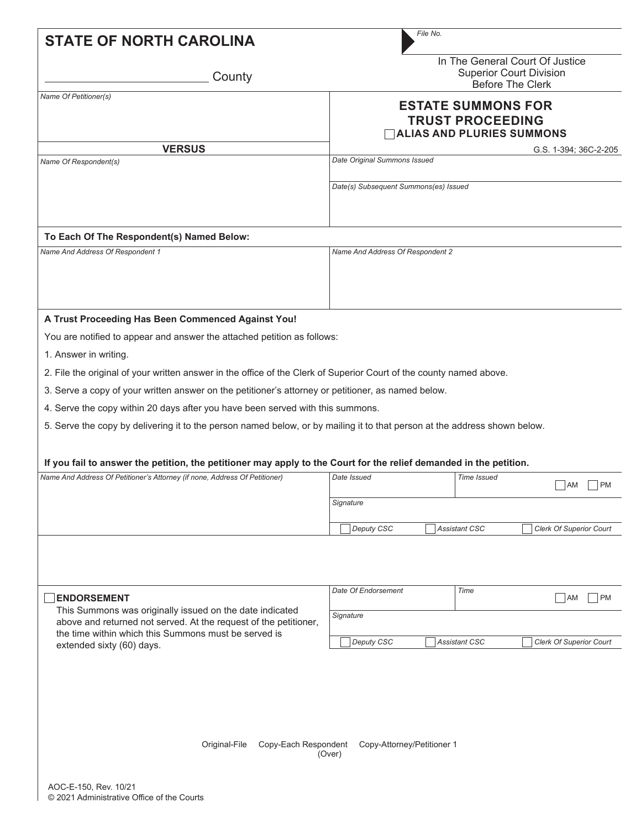| <b>STATE OF NORTH CAROLINA</b>                                                                                                                                                                                                                                                                                                                                                                                                                                                                                                                                                                                                                                                                                                                   | File No.                                                                                                                                  |
|--------------------------------------------------------------------------------------------------------------------------------------------------------------------------------------------------------------------------------------------------------------------------------------------------------------------------------------------------------------------------------------------------------------------------------------------------------------------------------------------------------------------------------------------------------------------------------------------------------------------------------------------------------------------------------------------------------------------------------------------------|-------------------------------------------------------------------------------------------------------------------------------------------|
| County                                                                                                                                                                                                                                                                                                                                                                                                                                                                                                                                                                                                                                                                                                                                           | In The General Court Of Justice<br><b>Superior Court Division</b><br><b>Before The Clerk</b>                                              |
| Name Of Petitioner(s)                                                                                                                                                                                                                                                                                                                                                                                                                                                                                                                                                                                                                                                                                                                            | <b>ESTATE SUMMONS FOR</b><br><b>TRUST PROCEEDING</b><br><b>ALIAS AND PLURIES SUMMONS</b>                                                  |
| <b>VERSUS</b>                                                                                                                                                                                                                                                                                                                                                                                                                                                                                                                                                                                                                                                                                                                                    | G.S. 1-394; 36C-2-205                                                                                                                     |
| Name Of Respondent(s)                                                                                                                                                                                                                                                                                                                                                                                                                                                                                                                                                                                                                                                                                                                            | Date Original Summons Issued                                                                                                              |
|                                                                                                                                                                                                                                                                                                                                                                                                                                                                                                                                                                                                                                                                                                                                                  | Date(s) Subsequent Summons(es) Issued                                                                                                     |
| To Each Of The Respondent(s) Named Below:                                                                                                                                                                                                                                                                                                                                                                                                                                                                                                                                                                                                                                                                                                        |                                                                                                                                           |
| Name And Address Of Respondent 1                                                                                                                                                                                                                                                                                                                                                                                                                                                                                                                                                                                                                                                                                                                 | Name And Address Of Respondent 2                                                                                                          |
| You are notified to appear and answer the attached petition as follows:<br>1. Answer in writing.<br>2. File the original of your written answer in the office of the Clerk of Superior Court of the county named above.<br>3. Serve a copy of your written answer on the petitioner's attorney or petitioner, as named below.<br>4. Serve the copy within 20 days after you have been served with this summons.<br>5. Serve the copy by delivering it to the person named below, or by mailing it to that person at the address shown below.<br>If you fail to answer the petition, the petitioner may apply to the Court for the relief demanded in the petition.<br>Name And Address Of Petitioner's Attorney (if none, Address Of Petitioner) | Date Issued<br><b>Time Issued</b><br>AM<br><b>PM</b><br>Signature<br>Deputy CSC<br><b>Assistant CSC</b><br><b>Clerk Of Superior Court</b> |
| <b>ENDORSEMENT</b><br>This Summons was originally issued on the date indicated<br>above and returned not served. At the request of the petitioner,<br>the time within which this Summons must be served is                                                                                                                                                                                                                                                                                                                                                                                                                                                                                                                                       | Date Of Endorsement<br>Time<br>$\vert$ PM<br><b>AM</b><br>Signature                                                                       |
| extended sixty (60) days.<br>Original-File<br>Copy-Each Respondent                                                                                                                                                                                                                                                                                                                                                                                                                                                                                                                                                                                                                                                                               | Deputy CSC<br><b>Assistant CSC</b><br><b>Clerk Of Superior Court</b><br>Copy-Attorney/Petitioner 1<br>(Over)                              |